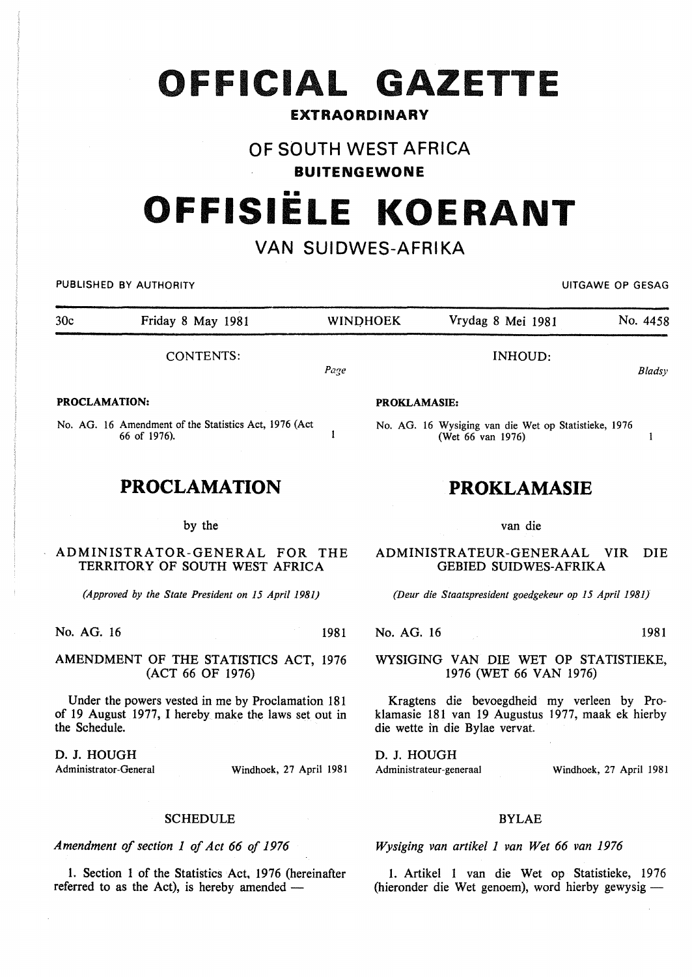# **OFFICIAL GAZETTE**

## **EXTRAORDINARY**

## **OF SOUTH WEST AFRICA**

## **BUITENGEWONE**

# •• **OFFISIELE KOERANT**

# **VAN SUIDWES-AFRIKA**

PUBLISHED BY AUTHORITY **EXECUTE ALL STATES IN THE SECOND ASSAULT ASSAULT AND A CONSTRUCT OF GESAG** 

30c Friday 8 May 1981 WINDHOEK Vrydag 8 Mei 1981 No. 4458

*Page* 

 $\mathbf{I}$ 

CONTENTS:

#### PROCLAMATION:

No. AG. 16 Amendment of the Statistics Act, 1976 (Act 66 of 1976).

# **PROCLAMATION**

#### by the

#### ADMINISTRATOR-GENERAL FOR THE TERRITORY OF SOUTH WEST AFRICA

*(Approved by the State President on 15 April 1981)* 

No. AG. 16 1981

AMENDMENT OF THE STATISTICS ACT, 1976 (ACT 66 OF 1976)

Under the powers vested in me by Proclamation 181 of 19 August 1977, I hereby make the laws set out in the Schedule.

D. J. HOUGH

Administrator-General Windhoek, 27 April 1981

## SCHEDULE

*Amendment of section 1 of Act 66 of 1976* 

1. Section 1 of the Statistics Act, 1976 (hereinafter referred to as the Act), is hereby amended  $-$ 

PROKLAMASIE:

No. AG. 16 Wysiging van die Wet op Statistieke, 1976 (Wet 66 van 1976)

# **PROKLAMASIE**

INHOUD:

van die

ADMINISTRA TEUR-GENERAAL VIR DIE GEBIED SUIDWES-AFRIKA

*(Deur die Staatspresident goedgekeur op 15 April 1981}* 

No. AG. 16 1981

WYSIGING VAN DIE WET OP STATISTIEKE, 1976 (WET 66 VAN 1976)

Kragtens die bevoegdheid my verleen by Proklamasie 181 van 19 Augustus 1977, maak ek hierby die wette in die Bylae vervat.

D. J. HOUGH Administrateur-generaal Windhoek, 27 April 1981

### BYLAE

*Wysiging van artikel 1 van Wet 66 van 1976* 

1. Artikel 1 van die Wet op Statistieke, 1976 (hieronder die Wet genoem), word hierby gewysig-

*Bladsy* 

 $\mathbf{1}$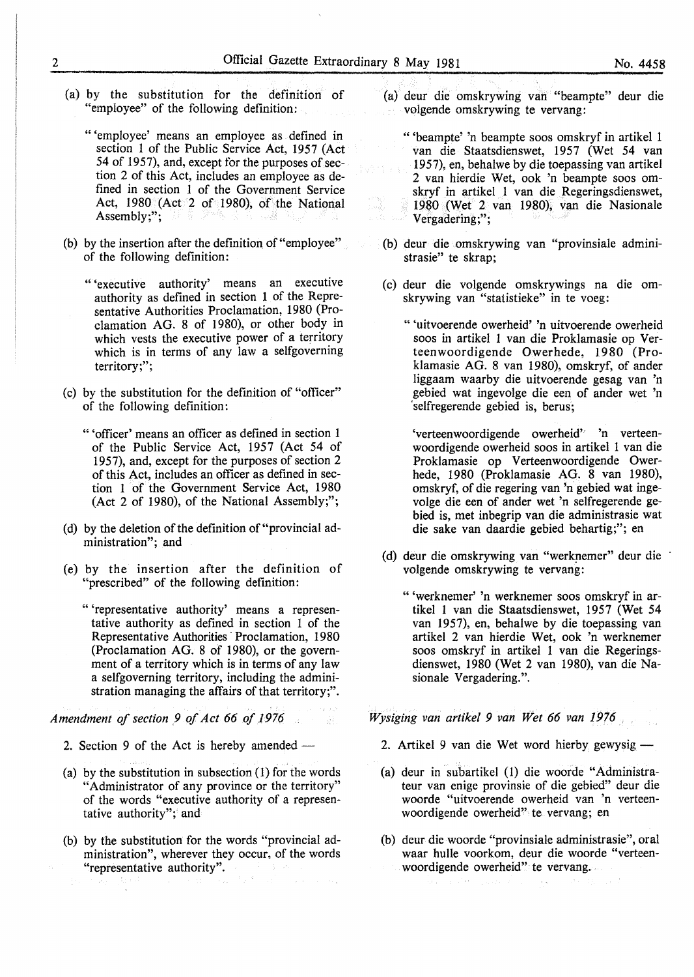- (a) by the substitution for the definition of "employee" of the following definition:
	- " 'employee' means an employee as defined in section 1 of the Public Service Act, 1957 (Act 54 of 1957), and, except for the purposes of section 2 of this Act, includes an employee as defined in section 1 of the Government Service Act, 1980 (Act 2 of 1980), of the National Assembly;":
- (b) by the insertion after the definition of "employee" of the following definition:
	- " 'executive authority' means an executive authority as defined in section 1 of the Representative Authorities Proclamation, 1980 (Proclamation AG. 8 of 1980), or other body in which vests the executive power of a territory which is in terms of any law a selfgoverning territory;";
- (c) by the substitution for the defmition of "officer" of the following definition:
	- " 'officer' means an officer as defined in section 1 of the Public Service Act, 1957 (Act 54 of 1957), and, except for the purposes of section 2 of this Act, includes an officer as defined in section 1 of the Government Service Act, 1980 (Act 2 of 1980), of the National Assembly;";
- (d) by the deletion of the definition of "provincial administration"; and
- (e) by the insertion after the definition of "prescribed" of the following defmition:
	- " 'representative authority' means a representative authority as defined in section 1 of the Representative Authorities· Proclamation, 1980 (Proclamation AG. 8 of 1980), or the government of a territory which is in terms of any law a selfgoverning territory, including the administration managing the affairs of that territory;".

- 52

*Amendment of section ,9 of Act 66 of 1976* 

- 2. Section 9 of the Act is hereby amended  $-$
- (a) by the substitution in subsection (1) for the words "Administrator of any province or the territory" of the words "executive authority of a representative authority"; and
- (b) by the substitution for the words "provincial administration", wherever they occur, of the words "representative authority".
- (a) deur die omskrywing van "beampte" deur die volgende omskrywing te vervang:
	- " 'beampte' 'n beampte soos omskryf in artikel 1 van die Staatsdienswet, 1957 (Wet 54 van 1957), en, behalwe by die toepassing van artikel 2 van hierdie Wet, ook 'n beampte soos omskryf in artikel 1 van die Regeringsdienswet, 1980 (Wet 2 van 1980), van die Nasionale Vergadering:":
- (b) deur die omskrywing van "provinsiale administrasie" te skrap;
- (c) deur die volgende omskrywings na die omskrywing van "statistieke" in te voeg:
	- " 'uitvoerende owerheid' 'n uitvoerende owerheid soos in artikel 1 van die Proklamasie op Verteenwoordigende Owerhede, 1980 (Proklamasie AG. 8 van 1980), omskryf, of ander liggaam waarby die uitvoerende gesag van 'n gebied wat ingevolge die een of ander wet 'n 'selfregerende gebied is, berus;

'verteenwoordigende owerheid' 'n verteenwoordigende owerheid soos in artikel 1 van die Proklamasie op Verteenwoordigende Owerhede, 1980 (Proklamasie AG. 8 van 1980), omskryf, of die regering van 'n gebied wat ingevolge die een of ander wet 'n selfregerende gebied is, met inbegrip van die administrasie wat die sake van daardie gebied behartig;"; en

- (d) deur die omskrywing van "werknemer" deur die volgende omskrywing te vervang:
	- " 'werknemer' 'n werknemer soos omskryf in artikel 1 van die Staatsdienswet, 1957 (Wet 54 van 1957), en, behalwe by die toepassing van artikel 2 van hierdie Wet, ook 'n werknemer soos omskryf in artikel 1 van die Regeringsdienswet, 1980 (Wet 2 van 1980), van die Nasionale Vergadering.".

*Wysiging van artikel 9 van Wet 66 van 1976* 

- 2. Artikel *9* van die Wet word hierby gewysig-
- (a) deur in subartikel (1) die woorde "Administrateur van enige provinsie of die gebied" deur die woorde "uitvoerende owerheid van 'n verteenwoordigende owerheid" te vervang; en
- (b) deur die woorde "provinsiale administrasie", oral waar hulle voorkom, deur die woorde "verteenwoordigende owerheid" te vervang.

 $\chi^2 \propto t$  $\sim$   $\sim$